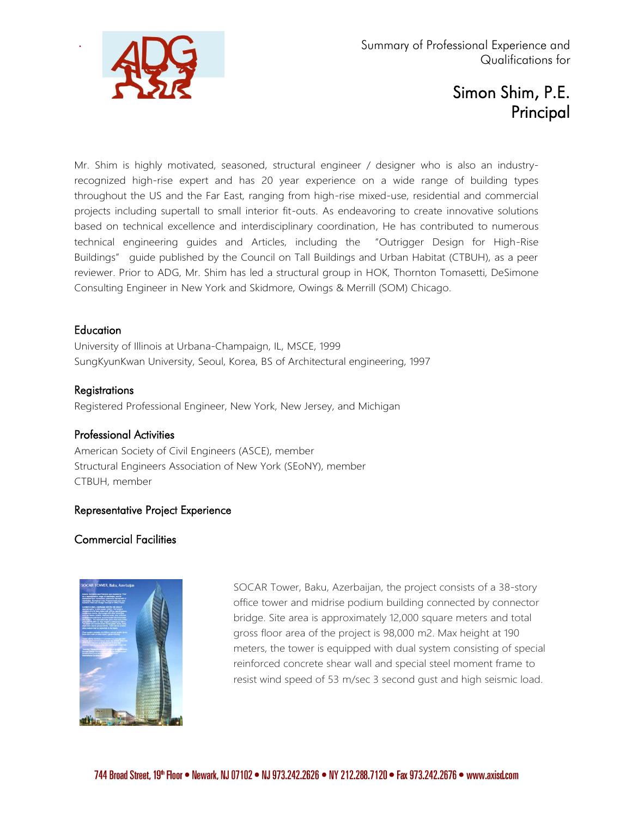

# Simon Shim, P.E. Principal

Mr. Shim is highly motivated, seasoned, structural engineer / designer who is also an industryrecognized high-rise expert and has 20 year experience on a wide range of building types throughout the US and the Far East, ranging from high-rise mixed-use, residential and commercial projects including supertall to small interior fit-outs. As endeavoring to create innovative solutions based on technical excellence and interdisciplinary coordination, He has contributed to numerous technical engineering guides and Articles, including the "Outrigger Design for High-Rise Buildings" guide published by the Council on Tall Buildings and Urban Habitat (CTBUH), as a peer reviewer. Prior to ADG, Mr. Shim has led a structural group in HOK, Thornton Tomasetti, DeSimone Consulting Engineer in New York and Skidmore, Owings & Merrill (SOM) Chicago.

## **Education**

University of Illinois at Urbana-Champaign, IL, MSCE, 1999 SungKyunKwan University, Seoul, Korea, BS of Architectural engineering, 1997

#### Registrations

Registered Professional Engineer, New York, New Jersey, and Michigan

#### Professional Activities

American Society of Civil Engineers (ASCE), member Structural Engineers Association of New York (SEoNY), member CTBUH, member

## Representative Project Experience

## Commercial Facilities



SOCAR Tower, Baku, Azerbaijan, the project consists of a 38-story office tower and midrise podium building connected by connector bridge. Site area is approximately 12,000 square meters and total gross floor area of the project is 98,000 m2. Max height at 190 meters, the tower is equipped with dual system consisting of special reinforced concrete shear wall and special steel moment frame to resist wind speed of 53 m/sec 3 second gust and high seismic load.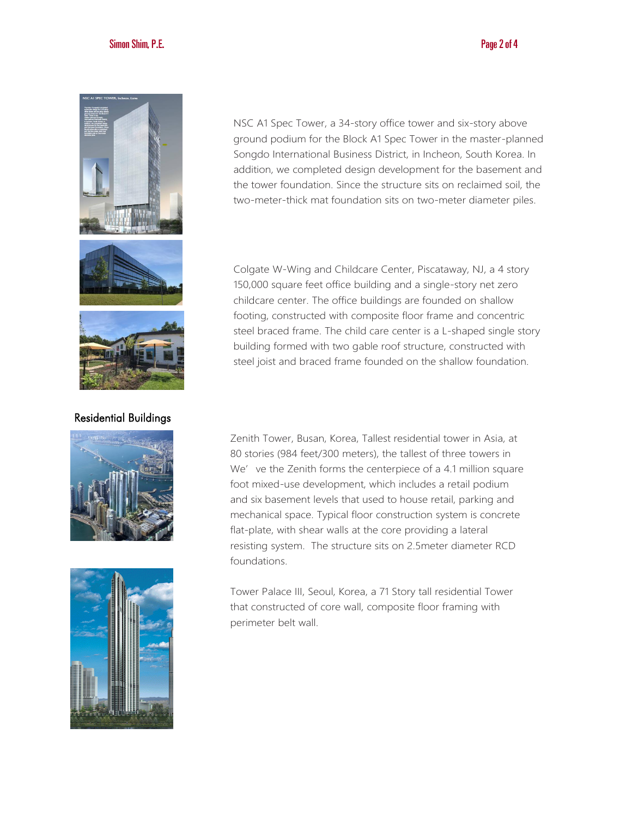#### Page 2 of 4



#### Residential Buildings





NSC A1 Spec Tower, a 34-story office tower and six-story above ground podium for the Block A1 Spec Tower in the master-planned Songdo International Business District, in Incheon, South Korea. In addition, we completed design development for the basement and the tower foundation. Since the structure sits on reclaimed soil, the two-meter-thick mat foundation sits on two-meter diameter piles.

Colgate W-Wing and Childcare Center, Piscataway, NJ, a 4 story 150,000 square feet office building and a single-story net zero childcare center. The office buildings are founded on shallow footing, constructed with composite floor frame and concentric steel braced frame. The child care center is a L-shaped single story building formed with two gable roof structure, constructed with steel joist and braced frame founded on the shallow foundation.

Zenith Tower, Busan, Korea, Tallest residential tower in Asia, at 80 stories (984 feet/300 meters), the tallest of three towers in We've the Zenith forms the centerpiece of a 4.1 million square foot mixed-use development, which includes a retail podium and six basement levels that used to house retail, parking and mechanical space. Typical floor construction system is concrete flat-plate, with shear walls at the core providing a lateral resisting system. The structure sits on 2.5meter diameter RCD foundations.

Tower Palace III, Seoul, Korea, a 71 Story tall residential Tower that constructed of core wall, composite floor framing with perimeter belt wall.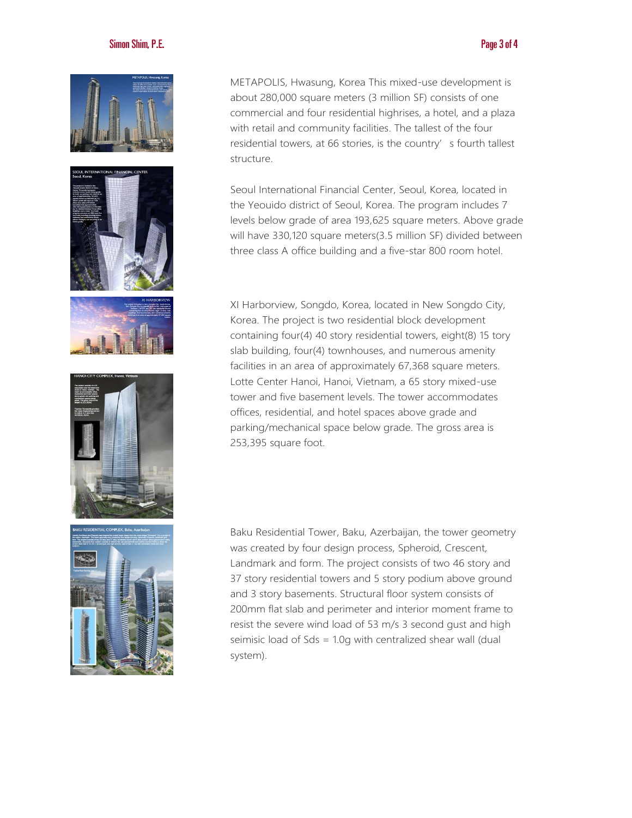#### Simon Shim, P.E.













METAPOLIS, Hwasung, Korea This mixed-use development is about 280,000 square meters (3 million SF) consists of one commercial and four residential highrises, a hotel, and a plaza with retail and community facilities. The tallest of the four residential towers, at 66 stories, is the country's fourth tallest structure.

Seoul International Financial Center, Seoul, Korea, located in the Yeouido district of Seoul, Korea. The program includes 7 levels below grade of area 193,625 square meters. Above grade will have 330,120 square meters(3.5 million SF) divided between three class A office building and a five-star 800 room hotel.

XI Harborview, Songdo, Korea, located in New Songdo City, Korea. The project is two residential block development containing four(4) 40 story residential towers, eight(8) 15 tory slab building, four(4) townhouses, and numerous amenity facilities in an area of approximately 67,368 square meters. Lotte Center Hanoi, Hanoi, Vietnam, a 65 story mixed-use tower and five basement levels. The tower accommodates offices, residential, and hotel spaces above grade and parking/mechanical space below grade. The gross area is 253,395 square foot.

Baku Residential Tower, Baku, Azerbaijan, the tower geometry was created by four design process, Spheroid, Crescent, Landmark and form. The project consists of two 46 story and 37 story residential towers and 5 story podium above ground and 3 story basements. Structural floor system consists of 200mm flat slab and perimeter and interior moment frame to resist the severe wind load of 53 m/s 3 second gust and high seimisic load of Sds = 1.0g with centralized shear wall (dual system).